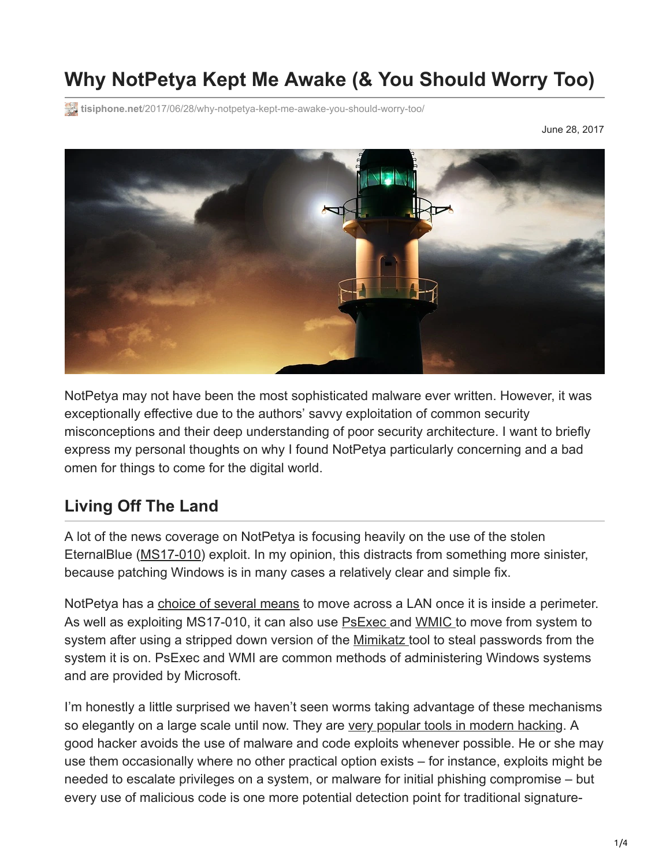# **Why NotPetya Kept Me Awake (& You Should Worry Too)**

**tisiphone.net**[/2017/06/28/why-notpetya-kept-me-awake-you-should-worry-too/](https://tisiphone.net/2017/06/28/why-notpetya-kept-me-awake-you-should-worry-too/)

June 28, 2017



NotPetya may not have been the most sophisticated malware ever written. However, it was exceptionally effective due to the authors' savvy exploitation of common security misconceptions and their deep understanding of poor security architecture. I want to briefly express my personal thoughts on why I found NotPetya particularly concerning and a bad omen for things to come for the digital world.

#### **Living Off The Land**

A lot of the news coverage on NotPetya is focusing heavily on the use of the stolen EternalBlue [\(MS17-010\)](https://technet.microsoft.com/en-us/library/security/ms17-010.aspx) exploit. In my opinion, this distracts from something more sinister, because patching Windows is in many cases a relatively clear and simple fix.

NotPetya has a [choice of several means](https://www.theregister.co.uk/2017/06/28/petya_notpetya_ransomware/) to move across a LAN once it is inside a perimeter. As well as exploiting MS17-010, it can also use [PsExec](https://technet.microsoft.com/en-us/sysinternals/bb897553.aspx) and [WMIC](https://www.microsoft.com/resources/documentation/windows/xp/all/proddocs/en-us/wmic.mspx?mfr=true) to move from system to system after using a stripped down version of the [Mimikatz t](https://www.fireeye.com/blog/threat-research/2017/06/petya-ransomware-spreading-via-eternalblue-exploit.html)ool to steal passwords from the system it is on. PsExec and WMI are common methods of administering Windows systems and are provided by Microsoft.

I'm honestly a little surprised we haven't seen worms taking advantage of these mechanisms so elegantly on a large scale until now. They are [very popular tools in modern hacking](https://www.carbonblack.com/2016/04/06/who-needs-malware-powershell-and-wmi-are-already-there/). A good hacker avoids the use of malware and code exploits whenever possible. He or she may use them occasionally where no other practical option exists – for instance, exploits might be needed to escalate privileges on a system, or malware for initial phishing compromise – but every use of malicious code is one more potential detection point for traditional signature-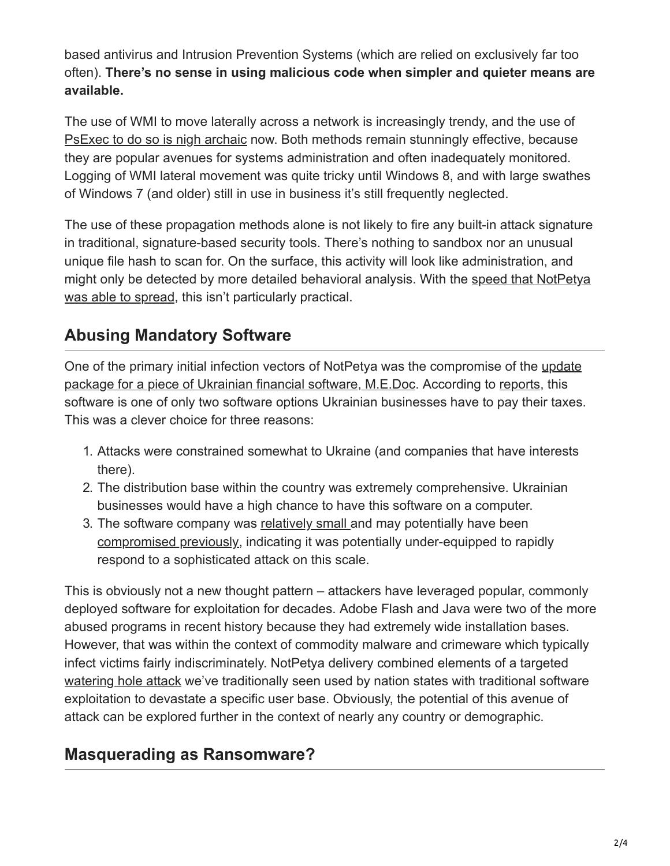based antivirus and Intrusion Prevention Systems (which are relied on exclusively far too often). **There's no sense in using malicious code when simpler and quieter means are available.**

The use of WMI to move laterally across a network is increasingly trendy, and the use of [PsExec to do so is nigh archaic](https://www.offensive-security.com/metasploit-unleashed/psexec-pass-hash/) now. Both methods remain stunningly effective, because they are popular avenues for systems administration and often inadequately monitored. Logging of WMI lateral movement was quite tricky until Windows 8, and with large swathes of Windows 7 (and older) still in use in business it's still frequently neglected.

The use of these propagation methods alone is not likely to fire any built-in attack signature in traditional, signature-based security tools. There's nothing to sandbox nor an unusual unique file hash to scan for. On the surface, this activity will look like administration, and [might only be detected by more detailed behavioral analysis. With the speed that NotPetya](https://twitter.com/HackingDave/status/879736303922933760) was able to spread, this isn't particularly practical.

## **Abusing Mandatory Software**

[One of the primary initial infection vectors of NotPetya was the compromise of the update](https://www.onthewire.io/petyalike-ransomware-hits-companies-across-europe/) package for a piece of Ukrainian financial software, M.E.Doc. According to [reports,](https://medium.com/@thegrugq/pnyetya-yet-another-ransomware-outbreak-59afd1ee89d4) this software is one of only two software options Ukrainian businesses have to pay their taxes. This was a clever choice for three reasons:

- 1. Attacks were constrained somewhat to Ukraine (and companies that have interests there).
- 2. The distribution base within the country was extremely comprehensive. Ukrainian businesses would have a high chance to have this software on a computer.
- 3. The software company was [relatively small](https://www.youtube.com/watch?v=TY5f2fmwcDE) and may potentially have been [compromised previously](https://t.co/OK4hGBv101), indicating it was potentially under-equipped to rapidly respond to a sophisticated attack on this scale.

This is obviously not a new thought pattern – attackers have leveraged popular, commonly deployed software for exploitation for decades. Adobe Flash and Java were two of the more abused programs in recent history because they had extremely wide installation bases. However, that was within the context of commodity malware and crimeware which typically infect victims fairly indiscriminately. NotPetya delivery combined elements of a targeted [watering hole attack](https://en.wikipedia.org/wiki/Watering_hole_attack) we've traditionally seen used by nation states with traditional software exploitation to devastate a specific user base. Obviously, the potential of this avenue of attack can be explored further in the context of nearly any country or demographic.

#### **Masquerading as Ransomware?**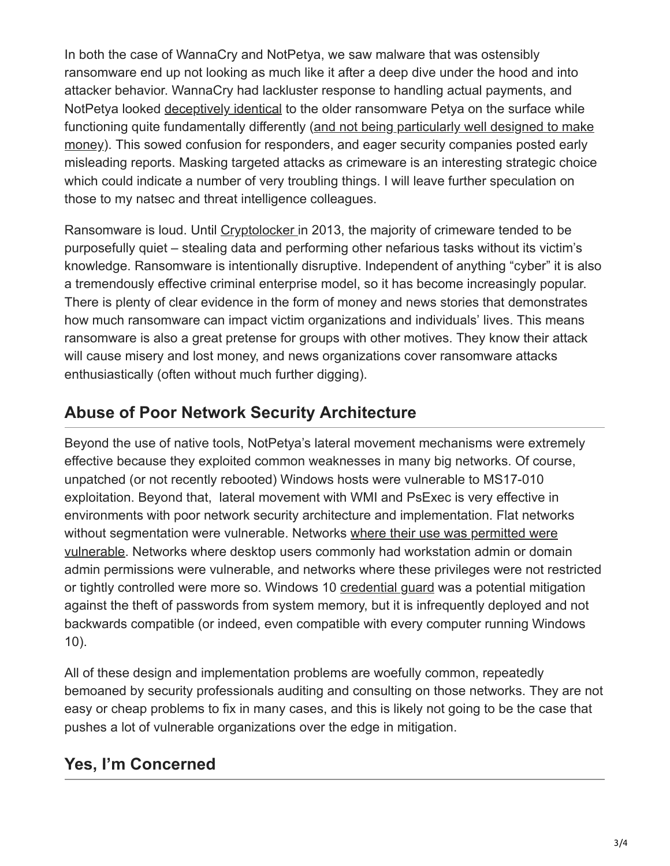In both the case of WannaCry and NotPetya, we saw malware that was ostensibly ransomware end up not looking as much like it after a deep dive under the hood and into attacker behavior. WannaCry had lackluster response to handling actual payments, and NotPetya looked [deceptively identical](https://medium.com/@thegrugq/pnyetya-yet-another-ransomware-outbreak-59afd1ee89d4) to the older ransomware Petya on the surface while [functioning quite fundamentally differently \(and not being particularly well designed to make](https://www.theverge.com/2017/6/27/15881110/petya-notpetya-paying-ransom-email-blocked-ransomware) money). This sowed confusion for responders, and eager security companies posted early misleading reports. Masking targeted attacks as crimeware is an interesting strategic choice which could indicate a number of very troubling things. I will leave further speculation on those to my natsec and threat intelligence colleagues.

Ransomware is loud. Until [Cryptolocker](https://en.wikipedia.org/wiki/CryptoLocker) in 2013, the majority of crimeware tended to be purposefully quiet – stealing data and performing other nefarious tasks without its victim's knowledge. Ransomware is intentionally disruptive. Independent of anything "cyber" it is also a tremendously effective criminal enterprise model, so it has become increasingly popular. There is plenty of clear evidence in the form of money and news stories that demonstrates how much ransomware can impact victim organizations and individuals' lives. This means ransomware is also a great pretense for groups with other motives. They know their attack will cause misery and lost money, and news organizations cover ransomware attacks enthusiastically (often without much further digging).

## **Abuse of Poor Network Security Architecture**

Beyond the use of native tools, NotPetya's lateral movement mechanisms were extremely effective because they exploited common weaknesses in many big networks. Of course, unpatched (or not recently rebooted) Windows hosts were vulnerable to MS17-010 exploitation. Beyond that, lateral movement with WMI and PsExec is very effective in environments with poor network security architecture and implementation. Flat networks without segmentation were vulnerable. Networks where their use was permitted were [vulnerable. Networks where desktop users commonly had workstation admin or doma](https://www.binarydefense.com/petya-ransomware-without-fluff/)in admin permissions were vulnerable, and networks where these privileges were not restricted or tightly controlled were more so. Windows 10 [credential guard](http://www.thewindowsclub.com/credential-guard-windows-10) was a potential mitigation against the theft of passwords from system memory, but it is infrequently deployed and not backwards compatible (or indeed, even compatible with every computer running Windows 10).

All of these design and implementation problems are woefully common, repeatedly bemoaned by security professionals auditing and consulting on those networks. They are not easy or cheap problems to fix in many cases, and this is likely not going to be the case that pushes a lot of vulnerable organizations over the edge in mitigation.

# **Yes, I'm Concerned**